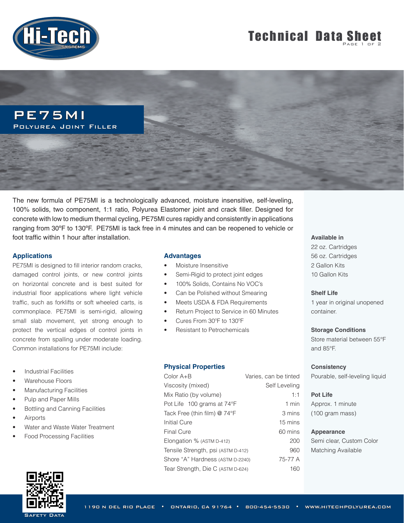

# **Technical Data Sheet**



The new formula of PE75MI is a technologically advanced, moisture insensitive, self-leveling, 100% solids, two component, 1:1 ratio, Polyurea Elastomer joint and crack filler. Designed for concrete with low to medium thermal cycling, PE75MI cures rapidly and consistently in applications ranging from 30ºF to 130ºF. PE75MI is tack free in 4 minutes and can be reopened to vehicle or foot traffic within 1 hour after installation.

### **Applications**

PE75MI is designed to fill interior random cracks, damaged control joints, or new control joints on horizontal concrete and is best suited for industrial floor applications where light vehicle traffic, such as forklifts or soft wheeled carts, is commonplace. PE75MI is semi-rigid, allowing small slab movement, yet strong enough to protect the vertical edges of control joints in concrete from spalling under moderate loading. Common installations for PE75MI include:

- **Industrial Facilities**
- Warehouse Floors
- Manufacturing Facilities
- Pulp and Paper Mills
- Bottling and Canning Facilities
- **Airports**
- Water and Waste Water Treatment
- Food Processing Facilities



### **Advantages**

- Moisture Insensitive
- Semi-Rigid to protect joint edges
- 100% Solids, Contains No VOC's
- Can be Polished without Smearing
- Meets USDA & FDA Requirements
- Return Project to Service in 60 Minutes
- Cures From 30ºF to 130ºF
- Resistant to Petrochemicals

### **Physical Properties**

| Color A+B                          | Varies, can be tinted |
|------------------------------------|-----------------------|
| Viscosity (mixed)                  | Self Leveling         |
| Mix Ratio (by volume)              | 1:1                   |
| Pot Life 100 grams at 74°F         | $1$ min               |
| Tack Free (thin film) @ 74°F       | 3 mins                |
| Initial Cure                       | 15 mins               |
| Final Cure                         | 60 mins               |
| Elongation % (ASTM D-412)          | 200                   |
| Tensile Strength, psi (ASTM D-412) | 960                   |
| Shore "A" Hardness (ASTM D-2240)   | 75-77 A               |
| Tear Strength, Die C (ASTM D-624)  | 160                   |

### **Available in**

22 oz. Cartridges 56 oz. Cartridges 2 Gallon Kits 10 Gallon Kits

### **Shelf Life**

1 year in original unopened container.

**Storage Conditions**

Store material between 55°F and 85°F.

### **Consistency**

Pourable, self-leveling liquid

### **Pot Life**

Approx. 1 minute (100 gram mass)

### **Appearance**

Semi clear, Custom Color Matching Available